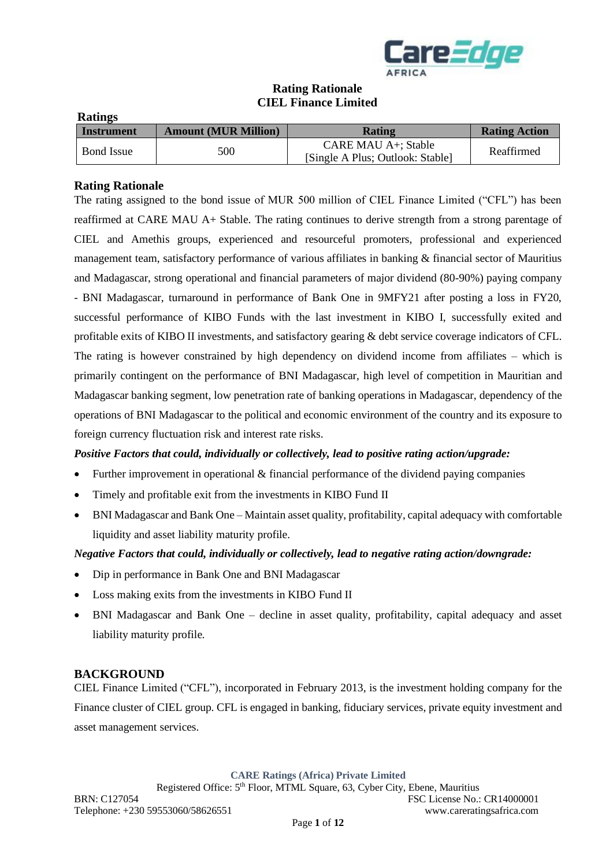

# **Rating Rationale CIEL Finance Limited**

| <b>Ratings</b>    |                             |                                                         |                      |
|-------------------|-----------------------------|---------------------------------------------------------|----------------------|
| Instrument        | <b>Amount (MUR Million)</b> | Rating                                                  | <b>Rating Action</b> |
| <b>Bond</b> Issue | 500                         | CARE MAU A+; Stable<br>[Single A Plus; Outlook: Stable] | Reaffirmed           |

## **Rating Rationale**

The rating assigned to the bond issue of MUR 500 million of CIEL Finance Limited ("CFL") has been reaffirmed at CARE MAU A+ Stable. The rating continues to derive strength from a strong parentage of CIEL and Amethis groups, experienced and resourceful promoters, professional and experienced management team, satisfactory performance of various affiliates in banking & financial sector of Mauritius and Madagascar, strong operational and financial parameters of major dividend (80-90%) paying company - BNI Madagascar, turnaround in performance of Bank One in 9MFY21 after posting a loss in FY20, successful performance of KIBO Funds with the last investment in KIBO I, successfully exited and profitable exits of KIBO II investments, and satisfactory gearing & debt service coverage indicators of CFL. The rating is however constrained by high dependency on dividend income from affiliates – which is primarily contingent on the performance of BNI Madagascar, high level of competition in Mauritian and Madagascar banking segment, low penetration rate of banking operations in Madagascar, dependency of the operations of BNI Madagascar to the political and economic environment of the country and its exposure to foreign currency fluctuation risk and interest rate risks.

#### *Positive Factors that could, individually or collectively, lead to positive rating action/upgrade:*

- Further improvement in operational & financial performance of the dividend paying companies
- Timely and profitable exit from the investments in KIBO Fund II
- BNI Madagascar and Bank One Maintain asset quality, profitability, capital adequacy with comfortable liquidity and asset liability maturity profile.

#### *Negative Factors that could, individually or collectively, lead to negative rating action/downgrade:*

- Dip in performance in Bank One and BNI Madagascar
- Loss making exits from the investments in KIBO Fund II
- BNI Madagascar and Bank One decline in asset quality, profitability, capital adequacy and asset liability maturity profile.

#### **BACKGROUND**

CIEL Finance Limited ("CFL"), incorporated in February 2013, is the investment holding company for the Finance cluster of CIEL group. CFL is engaged in banking, fiduciary services, private equity investment and asset management services.

**CARE Ratings (Africa) Private Limited**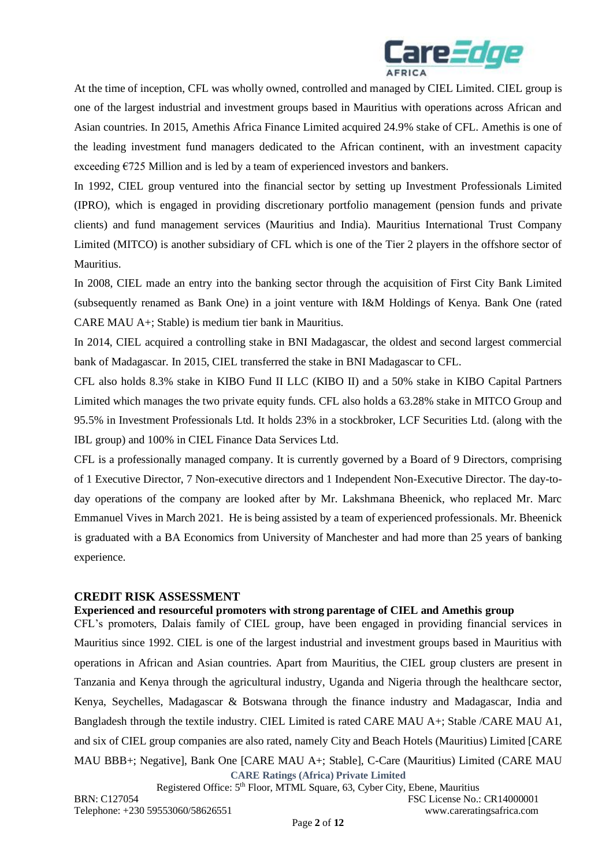

At the time of inception, CFL was wholly owned, controlled and managed by CIEL Limited. CIEL group is one of the largest industrial and investment groups based in Mauritius with operations across African and Asian countries. In 2015, Amethis Africa Finance Limited acquired 24.9% stake of CFL. Amethis is one of the leading investment fund managers dedicated to the African continent, with an investment capacity exceeding  $E725$  Million and is led by a team of experienced investors and bankers.

In 1992, CIEL group ventured into the financial sector by setting up Investment Professionals Limited (IPRO), which is engaged in providing discretionary portfolio management (pension funds and private clients) and fund management services (Mauritius and India). Mauritius International Trust Company Limited (MITCO) is another subsidiary of CFL which is one of the Tier 2 players in the offshore sector of Mauritius.

In 2008, CIEL made an entry into the banking sector through the acquisition of First City Bank Limited (subsequently renamed as Bank One) in a joint venture with I&M Holdings of Kenya. Bank One (rated CARE MAU A+; Stable) is medium tier bank in Mauritius.

In 2014, CIEL acquired a controlling stake in BNI Madagascar, the oldest and second largest commercial bank of Madagascar. In 2015, CIEL transferred the stake in BNI Madagascar to CFL.

CFL also holds 8.3% stake in KIBO Fund II LLC (KIBO II) and a 50% stake in KIBO Capital Partners Limited which manages the two private equity funds. CFL also holds a 63.28% stake in MITCO Group and 95.5% in Investment Professionals Ltd. It holds 23% in a stockbroker, LCF Securities Ltd. (along with the IBL group) and 100% in CIEL Finance Data Services Ltd.

CFL is a professionally managed company. It is currently governed by a Board of 9 Directors, comprising of 1 Executive Director, 7 Non-executive directors and 1 Independent Non-Executive Director. The day-today operations of the company are looked after by Mr. Lakshmana Bheenick, who replaced Mr. Marc Emmanuel Vives in March 2021. He is being assisted by a team of experienced professionals. Mr. Bheenick is graduated with a BA Economics from University of Manchester and had more than 25 years of banking experience.

#### **CREDIT RISK ASSESSMENT**

#### **Experienced and resourceful promoters with strong parentage of CIEL and Amethis group**

**CARE Ratings (Africa) Private Limited** CFL's promoters, Dalais family of CIEL group, have been engaged in providing financial services in Mauritius since 1992. CIEL is one of the largest industrial and investment groups based in Mauritius with operations in African and Asian countries. Apart from Mauritius, the CIEL group clusters are present in Tanzania and Kenya through the agricultural industry, Uganda and Nigeria through the healthcare sector, Kenya, Seychelles, Madagascar & Botswana through the finance industry and Madagascar, India and Bangladesh through the textile industry. CIEL Limited is rated CARE MAU A+; Stable /CARE MAU A1, and six of CIEL group companies are also rated, namely City and Beach Hotels (Mauritius) Limited [CARE MAU BBB+; Negative], Bank One [CARE MAU A+; Stable], C-Care (Mauritius) Limited (CARE MAU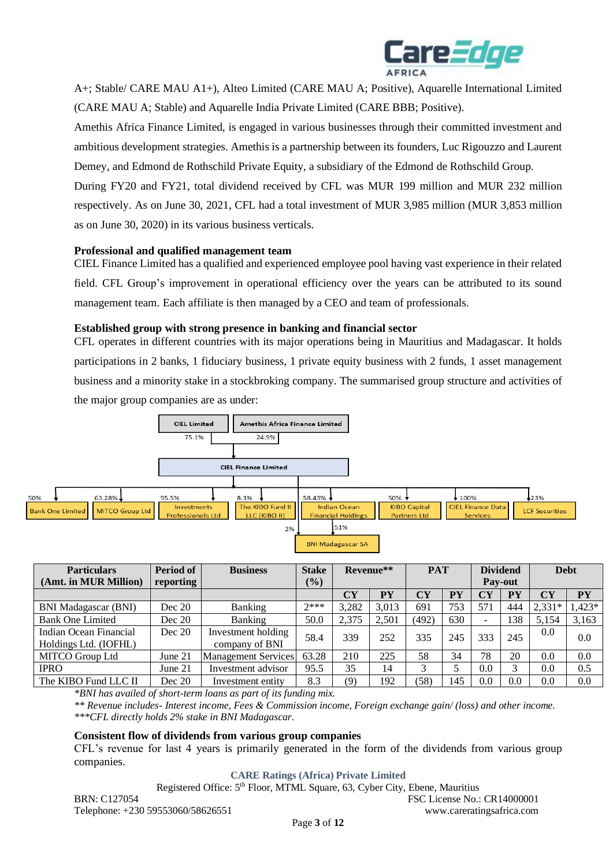

A+; Stable/ CARE MAU A1+), Alteo Limited (CARE MAU A; Positive), Aquarelle International Limited (CARE MAU A; Stable) and Aquarelle India Private Limited (CARE BBB; Positive).

Amethis Africa Finance Limited, is engaged in various businesses through their committed investment and ambitious development strategies. Amethis is a partnership between its founders, Luc Rigouzzo and Laurent Demey, and Edmond de Rothschild Private Equity, a subsidiary of the Edmond de Rothschild Group.

During FY20 and FY21, total dividend received by CFL was MUR 199 million and MUR 232 million respectively. As on June 30, 2021, CFL had a total investment of MUR 3,985 million (MUR 3,853 million as on June 30, 2020) in its various business verticals.

#### **Professional and qualified management team**

CIEL Finance Limited has a qualified and experienced employee pool having vast experience in their related field. CFL Group's improvement in operational efficiency over the years can be attributed to its sound management team. Each affiliate is then managed by a CEO and team of professionals.

#### **Established group with strong presence in banking and financial sector**

CFL operates in different countries with its major operations being in Mauritius and Madagascar. It holds participations in 2 banks, 1 fiduciary business, 1 private equity business with 2 funds, 1 asset management business and a minority stake in a stockbroking company. The summarised group structure and activities of the major group companies are as under:



| <b>Particulars</b>                              | Period of | <b>Business</b>                      | <b>Stake</b> | Revenue** |           | <b>PAT</b>                        |           | <b>Dividend</b>          |                | <b>Debt</b> |                  |
|-------------------------------------------------|-----------|--------------------------------------|--------------|-----------|-----------|-----------------------------------|-----------|--------------------------|----------------|-------------|------------------|
| (Amt. in MUR Million)                           | reporting |                                      | (%)          |           |           |                                   |           |                          | <b>Pay-out</b> |             |                  |
|                                                 |           |                                      |              | <b>CY</b> | <b>PY</b> | $\overline{\mathbf{C}}\mathbf{Y}$ | <b>PY</b> | CY                       | PY             | <b>CY</b>   | ${\bf P}{\bf Y}$ |
| <b>BNI Madagascar (BNI)</b>                     | Dec 20    | Banking                              | $7***$       | 3,282     | 3,013     | 691                               | 753       | 571                      | 444            | $2,331*$    | $1,423*$         |
| <b>Bank One Limited</b>                         | Dec 20    | Banking                              | 50.0         | 2,375     | 2,501     | (492)                             | 630       | $\overline{\phantom{0}}$ | 138            | 5,154       | 3,163            |
| Indian Ocean Financial<br>Holdings Ltd. (IOFHL) | Dec 20    | Investment holding<br>company of BNI | 58.4         | 339       | 252       | 335                               | 245       | 333                      | 245            | 0.0         | 0.0              |
| MITCO Group Ltd                                 | June 21   | <b>Management Services</b>           | 63.28        | 210       | 225       | 58                                | 34        | 78                       | 20             | 0.0         | 0.0              |
| <b>IPRO</b>                                     | June 21   | Investment advisor                   | 95.5         | 35        | 14        | 3                                 |           | 0.0                      | 3              | 0.0         | 0.5              |
| The KIBO Fund LLC II                            | Dec 20    | Investment entity                    | 8.3          | (9)       | 192       | (58)                              | 145       | 0.0                      | 0.0            | 0.0         | 0.0              |

*\*BNI has availed of short-term loans as part of its funding mix.*

*\*\* Revenue includes- Interest income, Fees & Commission income, Foreign exchange gain/ (loss) and other income. \*\*\*CFL directly holds 2% stake in BNI Madagascar.*

#### **Consistent flow of dividends from various group companies**

CFL's revenue for last 4 years is primarily generated in the form of the dividends from various group companies.

**CARE Ratings (Africa) Private Limited**

Registered Office: 5th Floor, MTML Square, 63, Cyber City, Ebene, Mauritius

BRN: C127054 FSC License No.: CR14000001 Telephone: +230 59553060/58626551 www.careratingsafrica.com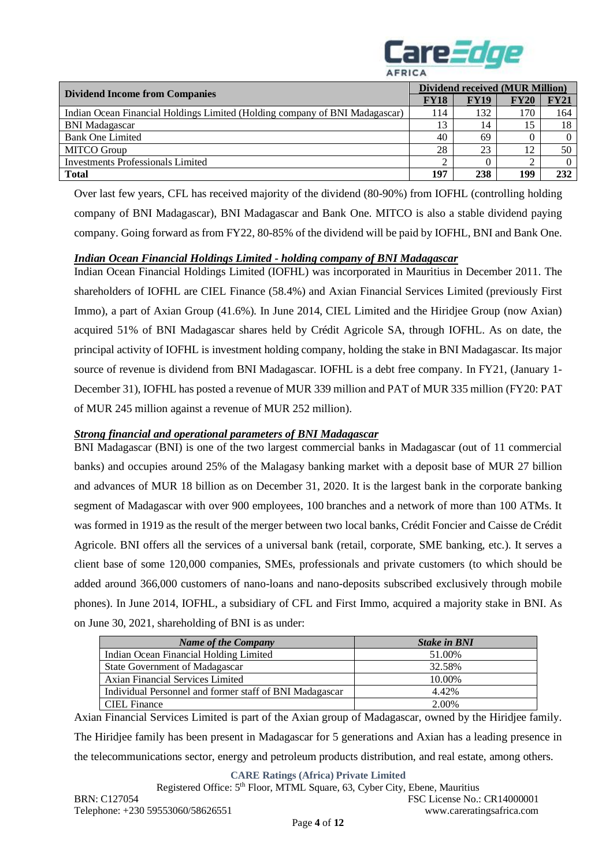

|                                                                             | Dividend received (MUR Million) |             |             |             |  |
|-----------------------------------------------------------------------------|---------------------------------|-------------|-------------|-------------|--|
| <b>Dividend Income from Companies</b>                                       | <b>FY18</b>                     | <b>FY19</b> | <b>FY20</b> | <b>FY21</b> |  |
| Indian Ocean Financial Holdings Limited (Holding company of BNI Madagascar) | 114                             | 132         | 170         | 164         |  |
| <b>BNI</b> Madagascar                                                       |                                 | 14          | 15          | 18          |  |
| <b>Bank One Limited</b>                                                     | 40                              | 69          | $\Omega$    | 0           |  |
| <b>MITCO</b> Group                                                          | 28                              | 23          | 12          | 50          |  |
| Investments Professionals Limited                                           |                                 |             | $\sim$      | $\Omega$    |  |
| <b>Total</b>                                                                | 197                             | 238         | 199         | 232         |  |

Over last few years, CFL has received majority of the dividend (80-90%) from IOFHL (controlling holding company of BNI Madagascar), BNI Madagascar and Bank One. MITCO is also a stable dividend paying company. Going forward as from FY22, 80-85% of the dividend will be paid by IOFHL, BNI and Bank One.

#### *Indian Ocean Financial Holdings Limited - holding company of BNI Madagascar*

Indian Ocean Financial Holdings Limited (IOFHL) was incorporated in Mauritius in December 2011. The shareholders of IOFHL are CIEL Finance (58.4%) and Axian Financial Services Limited (previously First Immo), a part of Axian Group (41.6%). In June 2014, CIEL Limited and the Hiridjee Group (now Axian) acquired 51% of BNI Madagascar shares held by Crédit Agricole SA, through IOFHL. As on date, the principal activity of IOFHL is investment holding company, holding the stake in BNI Madagascar. Its major source of revenue is dividend from BNI Madagascar. IOFHL is a debt free company. In FY21, (January 1- December 31), IOFHL has posted a revenue of MUR 339 million and PAT of MUR 335 million (FY20: PAT of MUR 245 million against a revenue of MUR 252 million).

#### *Strong financial and operational parameters of BNI Madagascar*

BNI Madagascar (BNI) is one of the two largest commercial banks in Madagascar (out of 11 commercial banks) and occupies around 25% of the Malagasy banking market with a deposit base of MUR 27 billion and advances of MUR 18 billion as on December 31, 2020. It is the largest bank in the corporate banking segment of Madagascar with over 900 employees, 100 branches and a network of more than 100 ATMs. It was formed in 1919 as the result of the merger between two local banks, Crédit Foncier and Caisse de Crédit Agricole. BNI offers all the services of a universal bank (retail, corporate, SME banking, etc.). It serves a client base of some 120,000 companies, SMEs, professionals and private customers (to which should be added around 366,000 customers of nano-loans and nano-deposits subscribed exclusively through mobile phones). In June 2014, IOFHL, a subsidiary of CFL and First Immo, acquired a majority stake in BNI. As on June 30, 2021, shareholding of BNI is as under:

| <b>Name of the Company</b>                              | <b>Stake in BNI</b> |
|---------------------------------------------------------|---------------------|
| Indian Ocean Financial Holding Limited                  | 51.00%              |
| <b>State Government of Madagascar</b>                   | 32.58%              |
| Axian Financial Services Limited                        | 10.00%              |
| Individual Personnel and former staff of BNI Madagascar | 4.42%               |
| CIEL Finance                                            | 2.00%               |

Axian Financial Services Limited is part of the Axian group of Madagascar, owned by the Hiridjee family. The Hiridjee family has been present in Madagascar for 5 generations and Axian has a leading presence in the telecommunications sector, energy and petroleum products distribution, and real estate, among others.

**CARE Ratings (Africa) Private Limited**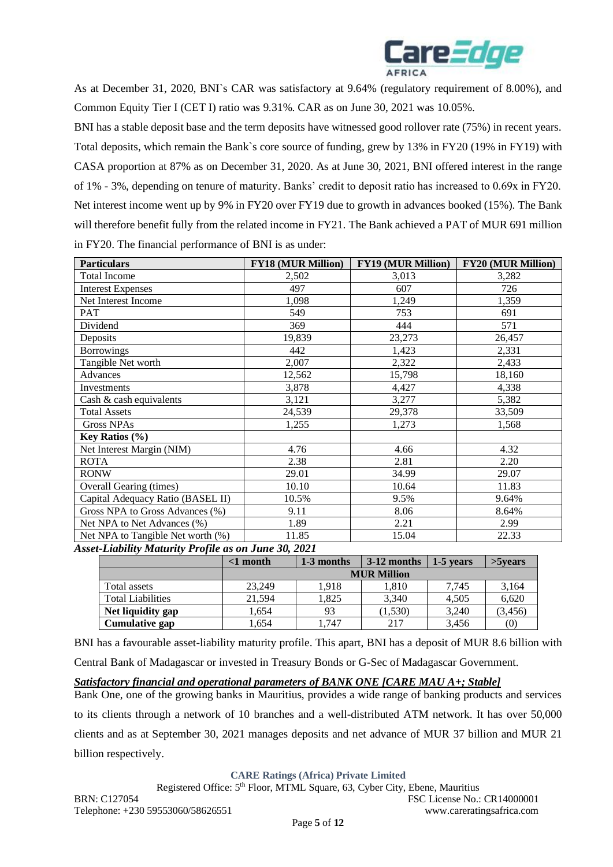

As at December 31, 2020, BNI`s CAR was satisfactory at 9.64% (regulatory requirement of 8.00%), and Common Equity Tier I (CET I) ratio was 9.31%. CAR as on June 30, 2021 was 10.05%.

BNI has a stable deposit base and the term deposits have witnessed good rollover rate (75%) in recent years. Total deposits, which remain the Bank`s core source of funding, grew by 13% in FY20 (19% in FY19) with CASA proportion at 87% as on December 31, 2020. As at June 30, 2021, BNI offered interest in the range of 1% - 3%, depending on tenure of maturity. Banks' credit to deposit ratio has increased to 0.69x in FY20. Net interest income went up by 9% in FY20 over FY19 due to growth in advances booked (15%). The Bank will therefore benefit fully from the related income in FY21. The Bank achieved a PAT of MUR 691 million in FY20. The financial performance of BNI is as under:

| <b>Particulars</b>                | <b>FY18 (MUR Million)</b> | <b>FY19 (MUR Million)</b> | <b>FY20 (MUR Million)</b> |
|-----------------------------------|---------------------------|---------------------------|---------------------------|
| <b>Total Income</b>               | 2,502                     | 3,013                     | 3,282                     |
| <b>Interest Expenses</b>          | 497                       | 607                       | 726                       |
| Net Interest Income               | 1,098                     | 1,249                     | 1,359                     |
| PAT                               | 549                       | 753                       | 691                       |
| Dividend                          | 369                       | 444                       | 571                       |
| Deposits                          | 19,839                    | 23,273                    | 26,457                    |
| <b>Borrowings</b>                 | 442                       | 1,423                     | 2,331                     |
| Tangible Net worth                | 2,007                     | 2,322                     | 2,433                     |
| Advances                          | 12,562                    | 15,798                    | 18,160                    |
| Investments                       | 3,878                     | 4,427                     | 4,338                     |
| Cash & cash equivalents           | 3,121                     | 3,277                     | 5,382                     |
| <b>Total Assets</b>               | 24,539                    | 29,378                    | 33,509                    |
| <b>Gross NPAs</b>                 | 1,255                     | 1,273                     | 1,568                     |
| <b>Key Ratios</b> $(\%)$          |                           |                           |                           |
| Net Interest Margin (NIM)         | 4.76                      | 4.66                      | 4.32                      |
| <b>ROTA</b>                       | 2.38                      | 2.81                      | 2.20                      |
| <b>RONW</b>                       | 29.01                     | 34.99                     | 29.07                     |
| <b>Overall Gearing (times)</b>    | 10.10                     | 10.64                     | 11.83                     |
| Capital Adequacy Ratio (BASEL II) | 10.5%                     | 9.5%                      | 9.64%                     |
| Gross NPA to Gross Advances (%)   | 9.11                      | 8.06                      | 8.64%                     |
| Net NPA to Net Advances (%)       | 1.89                      | 2.21                      | 2.99                      |
| Net NPA to Tangible Net worth (%) | 11.85                     | 15.04                     | 22.33                     |

*Asset-Liability Maturity Profile as on June 30, 2021*

|                          | <1 month | 1-3 months         | $3-12$ months | 1-5 years | $>5$ vears |  |  |
|--------------------------|----------|--------------------|---------------|-----------|------------|--|--|
|                          |          | <b>MUR Million</b> |               |           |            |  |  |
| Total assets             | 23.249   | 1.918              | 1,810         | 7.745     | 3,164      |  |  |
| <b>Total Liabilities</b> | 21.594   | 1.825              | 3.340         | 4.505     | 6.620      |  |  |
| Net liquidity gap        | 1.654    | 93                 | (1, 530)      | 3.240     | (3, 456)   |  |  |
| Cumulative gap           | .654     | .747               | 217           | 3.456     | (0)        |  |  |

BNI has a favourable asset-liability maturity profile. This apart, BNI has a deposit of MUR 8.6 billion with Central Bank of Madagascar or invested in Treasury Bonds or G-Sec of Madagascar Government.

*Satisfactory financial and operational parameters of BANK ONE [CARE MAU A+; Stable]* Bank One, one of the growing banks in Mauritius, provides a wide range of banking products and services to its clients through a network of 10 branches and a well-distributed ATM network. It has over 50,000 clients and as at September 30, 2021 manages deposits and net advance of MUR 37 billion and MUR 21 billion respectively.

**CARE Ratings (Africa) Private Limited**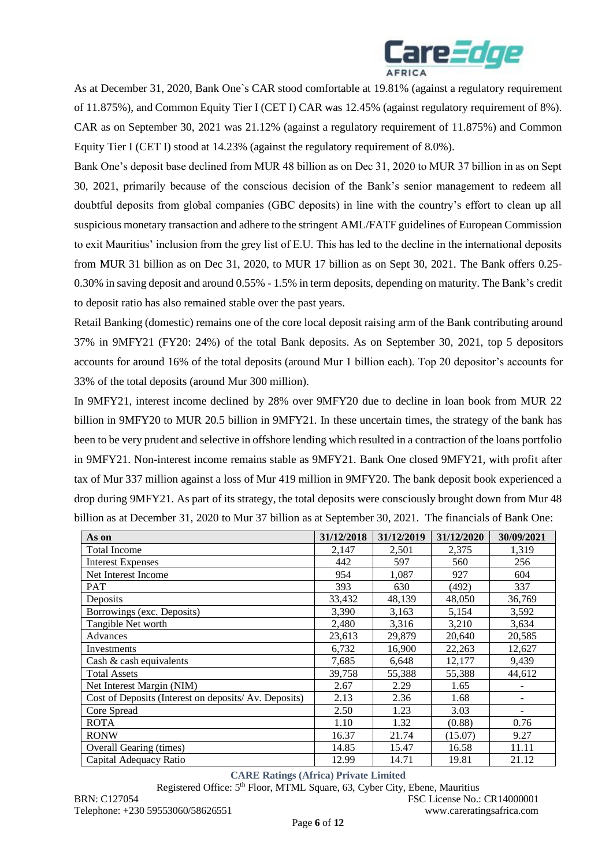

As at December 31, 2020, Bank One`s CAR stood comfortable at 19.81% (against a regulatory requirement of 11.875%), and Common Equity Tier I (CET I) CAR was 12.45% (against regulatory requirement of 8%). CAR as on September 30, 2021 was 21.12% (against a regulatory requirement of 11.875%) and Common Equity Tier I (CET I) stood at 14.23% (against the regulatory requirement of 8.0%).

Bank One's deposit base declined from MUR 48 billion as on Dec 31, 2020 to MUR 37 billion in as on Sept 30, 2021, primarily because of the conscious decision of the Bank's senior management to redeem all doubtful deposits from global companies (GBC deposits) in line with the country's effort to clean up all suspicious monetary transaction and adhere to the stringent AML/FATF guidelines of European Commission to exit Mauritius' inclusion from the grey list of E.U. This has led to the decline in the international deposits from MUR 31 billion as on Dec 31, 2020, to MUR 17 billion as on Sept 30, 2021. The Bank offers 0.25- 0.30% in saving deposit and around 0.55% - 1.5% in term deposits, depending on maturity. The Bank's credit to deposit ratio has also remained stable over the past years.

Retail Banking (domestic) remains one of the core local deposit raising arm of the Bank contributing around 37% in 9MFY21 (FY20: 24%) of the total Bank deposits. As on September 30, 2021, top 5 depositors accounts for around 16% of the total deposits (around Mur 1 billion each). Top 20 depositor's accounts for 33% of the total deposits (around Mur 300 million).

In 9MFY21, interest income declined by 28% over 9MFY20 due to decline in loan book from MUR 22 billion in 9MFY20 to MUR 20.5 billion in 9MFY21. In these uncertain times, the strategy of the bank has been to be very prudent and selective in offshore lending which resulted in a contraction of the loans portfolio in 9MFY21. Non-interest income remains stable as 9MFY21. Bank One closed 9MFY21, with profit after tax of Mur 337 million against a loss of Mur 419 million in 9MFY20. The bank deposit book experienced a drop during 9MFY21. As part of its strategy, the total deposits were consciously brought down from Mur 48 billion as at December 31, 2020 to Mur 37 billion as at September 30, 2021. The financials of Bank One:

| As on                                                | 31/12/2018 | 31/12/2019 | 31/12/2020 | 30/09/2021 |
|------------------------------------------------------|------------|------------|------------|------------|
| <b>Total Income</b>                                  | 2,147      | 2,501      | 2,375      | 1,319      |
| <b>Interest Expenses</b>                             | 442        | 597        | 560        | 256        |
| Net Interest Income                                  | 954        | 1,087      | 927        | 604        |
| <b>PAT</b>                                           | 393        | 630        | (492)      | 337        |
| Deposits                                             | 33,432     | 48,139     | 48,050     | 36,769     |
| Borrowings (exc. Deposits)                           | 3,390      | 3,163      | 5,154      | 3,592      |
| Tangible Net worth                                   | 2,480      | 3,316      | 3,210      | 3,634      |
| Advances                                             | 23,613     | 29,879     | 20,640     | 20,585     |
| Investments                                          | 6,732      | 16,900     | 22,263     | 12,627     |
| Cash & cash equivalents                              | 7,685      | 6,648      | 12,177     | 9,439      |
| <b>Total Assets</b>                                  | 39,758     | 55,388     | 55,388     | 44,612     |
| Net Interest Margin (NIM)                            | 2.67       | 2.29       | 1.65       |            |
| Cost of Deposits (Interest on deposits/Av. Deposits) | 2.13       | 2.36       | 1.68       | -          |
| Core Spread                                          | 2.50       | 1.23       | 3.03       | -          |
| <b>ROTA</b>                                          | 1.10       | 1.32       | (0.88)     | 0.76       |
| <b>RONW</b>                                          | 16.37      | 21.74      | (15.07)    | 9.27       |
| Overall Gearing (times)                              | 14.85      | 15.47      | 16.58      | 11.11      |
| Capital Adequacy Ratio                               | 12.99      | 14.71      | 19.81      | 21.12      |

**CARE Ratings (Africa) Private Limited**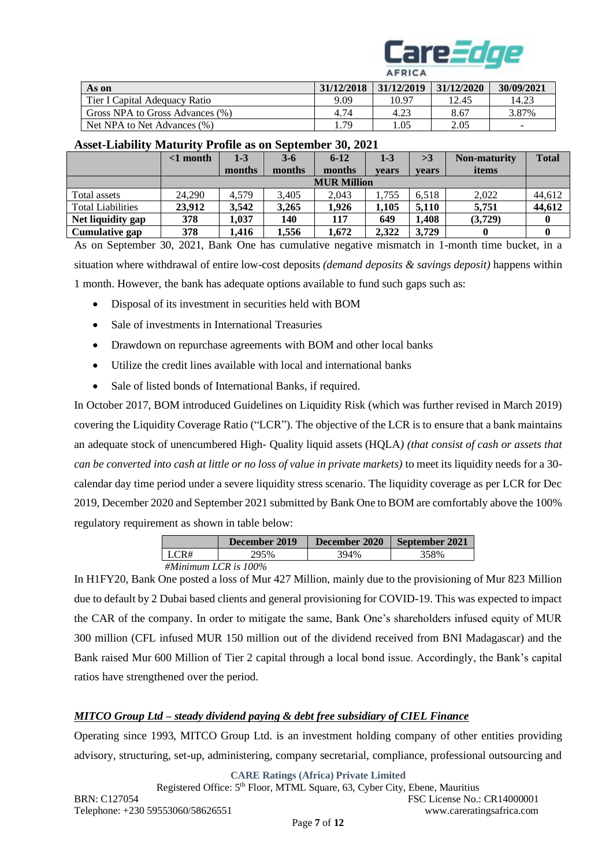

|                                 |            | $\cdots$   |            |                          |
|---------------------------------|------------|------------|------------|--------------------------|
| As on                           | 31/12/2018 | 31/12/2019 | 31/12/2020 | 30/09/2021               |
| Tier I Capital Adequacy Ratio   | 9.09       | 10.97      | 12.45      | 14.23                    |
| Gross NPA to Gross Advances (%) | 4.74       | 4.23       | 8.67       | 3.87%                    |
| Net NPA to Net Advances (%)     | 1.79       | .05        | 2.05       | $\overline{\phantom{0}}$ |

# **Asset-Liability Maturity Profile as on September 30, 2021**

|                          | $\leq 1$ month     | $1 - 3$ | $3-6$  | $6 - 12$ | $1-3$ | >3           | <b>Non-maturity</b> | <b>Total</b> |
|--------------------------|--------------------|---------|--------|----------|-------|--------------|---------------------|--------------|
|                          |                    | months  | months | months   | vears | <b>vears</b> | items               |              |
|                          | <b>MUR Million</b> |         |        |          |       |              |                     |              |
| Total assets             | 24.290             | 4.579   | 3.405  | 2.043    | .755  | 6.518        | 2,022               | 44,612       |
| <b>Total Liabilities</b> | 23,912             | 3,542   | 3.265  | 1.926    | 1,105 | 5.110        | 5.751               | 44,612       |
| Net liquidity gap        | 378                | 1,037   | 140    | 117      | 649   | 1.408        | (3,729)             |              |
| Cumulative gap           | 378                | 1,416   | 1,556  | 1.672    | 2,322 | 3.729        |                     |              |

As on September 30, 2021, Bank One has cumulative negative mismatch in 1-month time bucket, in a situation where withdrawal of entire low-cost deposits *(demand deposits & savings deposit)* happens within 1 month. However, the bank has adequate options available to fund such gaps such as:

- Disposal of its investment in securities held with BOM
- Sale of investments in International Treasuries
- Drawdown on repurchase agreements with BOM and other local banks
- Utilize the credit lines available with local and international banks
- Sale of listed bonds of International Banks, if required.

In October 2017, BOM introduced Guidelines on Liquidity Risk (which was further revised in March 2019) covering the Liquidity Coverage Ratio ("LCR"). The objective of the LCR is to ensure that a bank maintains an adequate stock of unencumbered High- Quality liquid assets (HQLA*) (that consist of cash or assets that can be converted into cash at little or no loss of value in private markets)* to meet its liquidity needs for a 30 calendar day time period under a severe liquidity stress scenario. The liquidity coverage as per LCR for Dec 2019, December 2020 and September 2021 submitted by Bank One to BOM are comfortably above the 100% regulatory requirement as shown in table below:

|                         | December 2019 | December 2020 | September 2021 |
|-------------------------|---------------|---------------|----------------|
| I LCR#                  | 295%          | 394%          | 358%           |
| #Minimum LCR is $100\%$ |               |               |                |

In H1FY20, Bank One posted a loss of Mur 427 Million, mainly due to the provisioning of Mur 823 Million due to default by 2 Dubai based clients and general provisioning for COVID-19. This was expected to impact the CAR of the company. In order to mitigate the same, Bank One's shareholders infused equity of MUR 300 million (CFL infused MUR 150 million out of the dividend received from BNI Madagascar) and the Bank raised Mur 600 Million of Tier 2 capital through a local bond issue. Accordingly, the Bank's capital ratios have strengthened over the period.

# *MITCO Group Ltd – steady dividend paying & debt free subsidiary of CIEL Finance*

Operating since 1993, MITCO Group Ltd. is an investment holding company of other entities providing advisory, structuring, set-up, administering, company secretarial, compliance, professional outsourcing and

**CARE Ratings (Africa) Private Limited**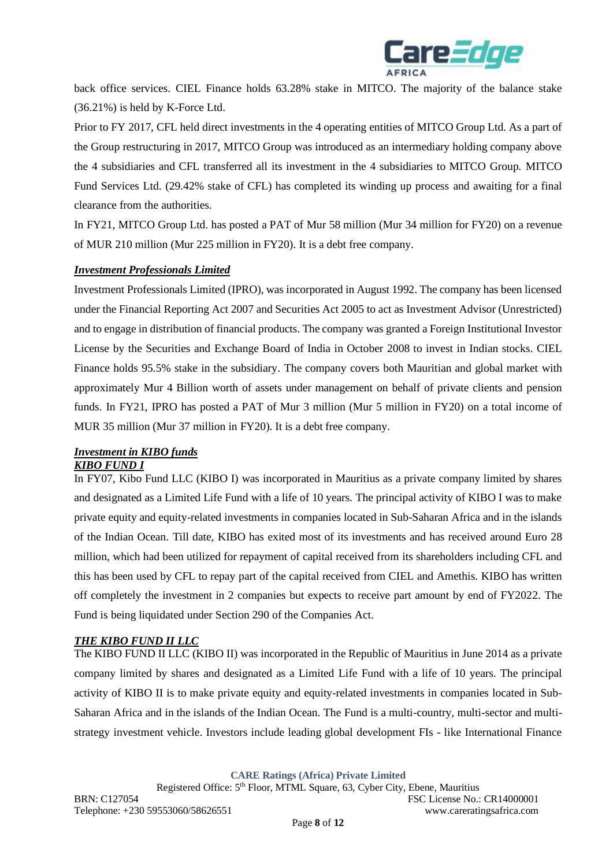

back office services. CIEL Finance holds 63.28% stake in MITCO. The majority of the balance stake (36.21%) is held by K-Force Ltd.

Prior to FY 2017, CFL held direct investments in the 4 operating entities of MITCO Group Ltd. As a part of the Group restructuring in 2017, MITCO Group was introduced as an intermediary holding company above the 4 subsidiaries and CFL transferred all its investment in the 4 subsidiaries to MITCO Group. MITCO Fund Services Ltd. (29.42% stake of CFL) has completed its winding up process and awaiting for a final clearance from the authorities.

In FY21, MITCO Group Ltd. has posted a PAT of Mur 58 million (Mur 34 million for FY20) on a revenue of MUR 210 million (Mur 225 million in FY20). It is a debt free company.

### *Investment Professionals Limited*

Investment Professionals Limited (IPRO), was incorporated in August 1992. The company has been licensed under the Financial Reporting Act 2007 and Securities Act 2005 to act as Investment Advisor (Unrestricted) and to engage in distribution of financial products. The company was granted a Foreign Institutional Investor License by the Securities and Exchange Board of India in October 2008 to invest in Indian stocks. CIEL Finance holds 95.5% stake in the subsidiary. The company covers both Mauritian and global market with approximately Mur 4 Billion worth of assets under management on behalf of private clients and pension funds. In FY21, IPRO has posted a PAT of Mur 3 million (Mur 5 million in FY20) on a total income of MUR 35 million (Mur 37 million in FY20). It is a debt free company.

#### *Investment in KIBO funds KIBO FUND I*

In FY07, Kibo Fund LLC (KIBO I) was incorporated in Mauritius as a private company limited by shares and designated as a Limited Life Fund with a life of 10 years. The principal activity of KIBO I was to make private equity and equity-related investments in companies located in Sub-Saharan Africa and in the islands of the Indian Ocean. Till date, KIBO has exited most of its investments and has received around Euro 28 million, which had been utilized for repayment of capital received from its shareholders including CFL and this has been used by CFL to repay part of the capital received from CIEL and Amethis. KIBO has written off completely the investment in 2 companies but expects to receive part amount by end of FY2022. The Fund is being liquidated under Section 290 of the Companies Act.

# *THE KIBO FUND II LLC*

The KIBO FUND II LLC (KIBO II) was incorporated in the Republic of Mauritius in June 2014 as a private company limited by shares and designated as a Limited Life Fund with a life of 10 years. The principal activity of KIBO II is to make private equity and equity-related investments in companies located in Sub-Saharan Africa and in the islands of the Indian Ocean. The Fund is a multi-country, multi-sector and multistrategy investment vehicle. Investors include leading global development FIs - like International Finance

**CARE Ratings (Africa) Private Limited**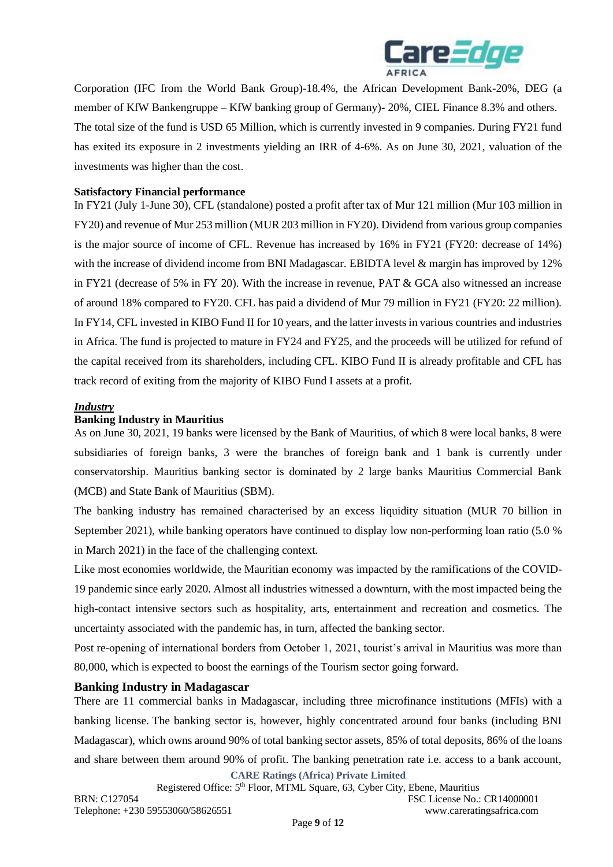

Corporation (IFC from the World Bank Group)-18.4%, the African Development Bank-20%, DEG (a member of KfW Bankengruppe – KfW banking group of Germany)- 20%, CIEL Finance 8.3% and others. The total size of the fund is USD 65 Million, which is currently invested in 9 companies. During FY21 fund has exited its exposure in 2 investments yielding an IRR of 4-6%. As on June 30, 2021, valuation of the investments was higher than the cost.

### **Satisfactory Financial performance**

In FY21 (July 1-June 30), CFL (standalone) posted a profit after tax of Mur 121 million (Mur 103 million in FY20) and revenue of Mur 253 million (MUR 203 million in FY20). Dividend from various group companies is the major source of income of CFL. Revenue has increased by 16% in FY21 (FY20: decrease of 14%) with the increase of dividend income from BNI Madagascar. EBIDTA level & margin has improved by 12% in FY21 (decrease of 5% in FY 20). With the increase in revenue, PAT & GCA also witnessed an increase of around 18% compared to FY20. CFL has paid a dividend of Mur 79 million in FY21 (FY20: 22 million). In FY14, CFL invested in KIBO Fund II for 10 years, and the latter invests in various countries and industries in Africa. The fund is projected to mature in FY24 and FY25, and the proceeds will be utilized for refund of the capital received from its shareholders, including CFL. KIBO Fund II is already profitable and CFL has track record of exiting from the majority of KIBO Fund I assets at a profit.

### *Industry*

### **Banking Industry in Mauritius**

As on June 30, 2021, 19 banks were licensed by the Bank of Mauritius, of which 8 were local banks, 8 were subsidiaries of foreign banks, 3 were the branches of foreign bank and 1 bank is currently under conservatorship. Mauritius banking sector is dominated by 2 large banks Mauritius Commercial Bank (MCB) and State Bank of Mauritius (SBM).

The banking industry has remained characterised by an excess liquidity situation (MUR 70 billion in September 2021), while banking operators have continued to display low non-performing loan ratio (5.0 % in March 2021) in the face of the challenging context.

Like most economies worldwide, the Mauritian economy was impacted by the ramifications of the COVID-19 pandemic since early 2020. Almost all industries witnessed a downturn, with the most impacted being the high-contact intensive sectors such as hospitality, arts, entertainment and recreation and cosmetics. The uncertainty associated with the pandemic has, in turn, affected the banking sector.

Post re-opening of international borders from October 1, 2021, tourist's arrival in Mauritius was more than 80,000, which is expected to boost the earnings of the Tourism sector going forward.

#### **Banking Industry in Madagascar**

There are 11 commercial banks in Madagascar, including three microfinance institutions (MFIs) with a banking license. The banking sector is, however, highly concentrated around four banks (including BNI Madagascar), which owns around 90% of total banking sector assets, 85% of total deposits, 86% of the loans and share between them around 90% of profit. The banking penetration rate i.e. access to a bank account,

**CARE Ratings (Africa) Private Limited** Registered Office: 5th Floor, MTML Square, 63, Cyber City, Ebene, Mauritius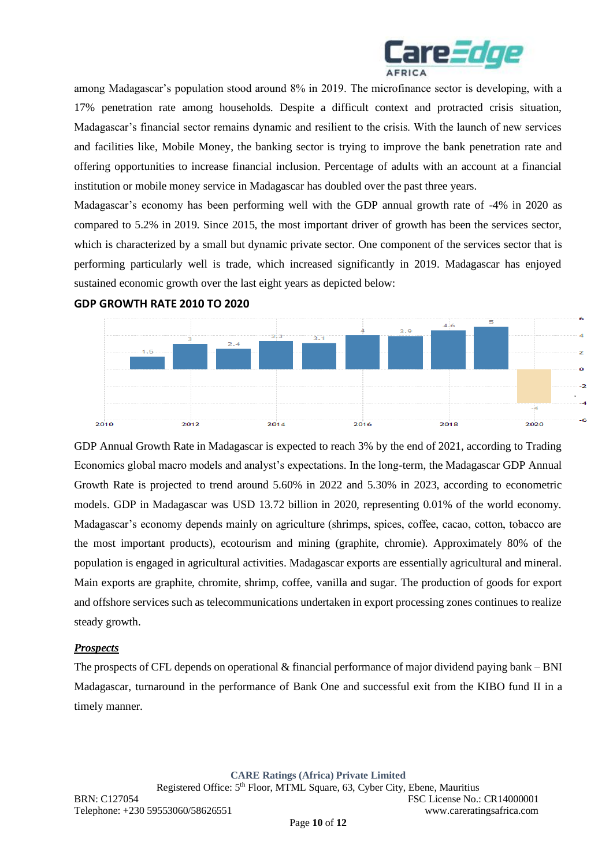

among Madagascar's population stood around 8% in 2019. The microfinance sector is developing, with a 17% penetration rate among households. Despite a difficult context and protracted crisis situation, Madagascar's financial sector remains dynamic and resilient to the crisis. With the launch of new services and facilities like, Mobile Money, the banking sector is trying to improve the bank penetration rate and offering opportunities to increase financial inclusion. Percentage of adults with an account at a financial institution or mobile money service in Madagascar has doubled over the past three years.

Madagascar's economy has been performing well with the GDP annual growth rate of -4% in 2020 as compared to 5.2% in 2019. Since 2015, the most important driver of growth has been the services sector, which is characterized by a small but dynamic private sector. One component of the services sector that is performing particularly well is trade, which increased significantly in 2019. Madagascar has enjoyed sustained economic growth over the last eight years as depicted below:



**GDP GROWTH RATE 2010 TO 2020**

GDP Annual Growth Rate in Madagascar is expected to reach 3% by the end of 2021, according to Trading Economics global macro models and analyst's expectations. In the long-term, the Madagascar GDP Annual Growth Rate is projected to trend around 5.60% in 2022 and 5.30% in 2023, according to econometric models. GDP in Madagascar was USD 13.72 billion in 2020, representing 0.01% of the world economy. Madagascar's economy depends mainly on agriculture (shrimps, spices, coffee, cacao, cotton, tobacco are the most important products), ecotourism and mining (graphite, chromie). Approximately 80% of the population is engaged in agricultural activities. Madagascar exports are essentially agricultural and mineral. Main exports are graphite, chromite, shrimp, coffee, vanilla and sugar. The production of goods for export and offshore services such as telecommunications undertaken in export processing zones continues to realize steady growth.

# *Prospects*

The prospects of CFL depends on operational & financial performance of major dividend paying bank – BNI Madagascar, turnaround in the performance of Bank One and successful exit from the KIBO fund II in a timely manner.

**CARE Ratings (Africa) Private Limited**

Registered Office: 5th Floor, MTML Square, 63, Cyber City, Ebene, Mauritius BRN: C127054 FSC License No.: CR14000001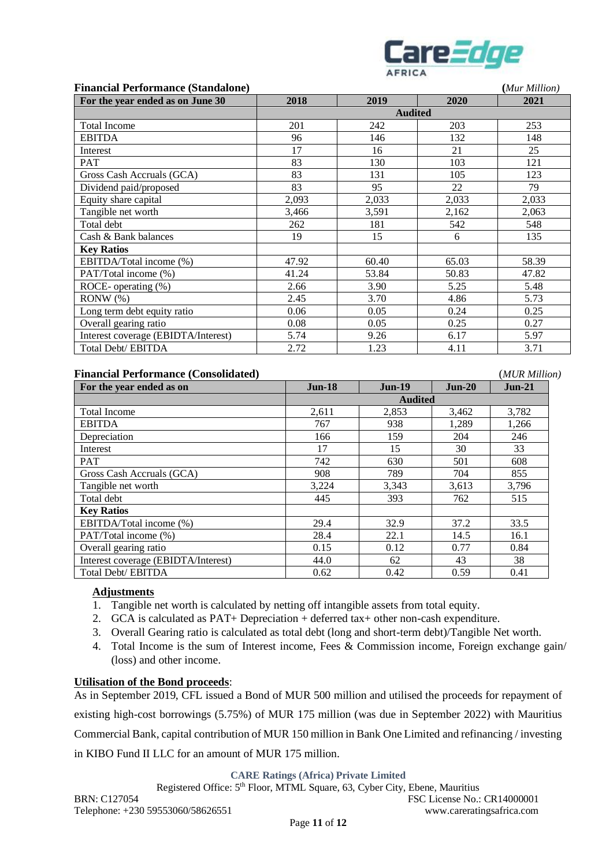

| <b>Financial Performance (Standalone)</b> | (Mur Million) |       |                |       |
|-------------------------------------------|---------------|-------|----------------|-------|
| For the year ended as on June 30          | 2018          | 2019  | 2020           | 2021  |
|                                           |               |       | <b>Audited</b> |       |
| <b>Total Income</b>                       | 201           | 242   | 203            | 253   |
| <b>EBITDA</b>                             | 96            | 146   | 132            | 148   |
| Interest                                  | 17            | 16    | 21             | 25    |
| PAT                                       | 83            | 130   | 103            | 121   |
| Gross Cash Accruals (GCA)                 | 83            | 131   | 105            | 123   |
| Dividend paid/proposed                    | 83            | 95    | 22             | 79    |
| Equity share capital                      | 2,093         | 2,033 | 2,033          | 2,033 |
| Tangible net worth                        | 3,466         | 3,591 | 2,162          | 2,063 |
| Total debt                                | 262           | 181   | 542            | 548   |
| Cash & Bank balances                      | 19            | 15    | 6              | 135   |
| <b>Key Ratios</b>                         |               |       |                |       |
| EBITDA/Total income (%)                   | 47.92         | 60.40 | 65.03          | 58.39 |
| PAT/Total income (%)                      | 41.24         | 53.84 | 50.83          | 47.82 |
| ROCE- operating $(\%)$                    | 2.66          | 3.90  | 5.25           | 5.48  |
| RONW (%)                                  | 2.45          | 3.70  | 4.86           | 5.73  |
| Long term debt equity ratio               | 0.06          | 0.05  | 0.24           | 0.25  |
| Overall gearing ratio                     | 0.08          | 0.05  | 0.25           | 0.27  |
| Interest coverage (EBIDTA/Interest)       | 5.74          | 9.26  | 6.17           | 5.97  |
| Total Debt/ EBITDA                        | 2.72          | 1.23  | 4.11           | 3.71  |

| <b>Financial Performance (Consolidated)</b> |          |                |          | (MUR Million) |
|---------------------------------------------|----------|----------------|----------|---------------|
| For the year ended as on                    | $Jun-18$ | $Jun-19$       | $Jun-20$ | $Jun-21$      |
|                                             |          | <b>Audited</b> |          |               |
| <b>Total Income</b>                         | 2,611    | 2,853          | 3,462    | 3,782         |
| <b>EBITDA</b>                               | 767      | 938            | 1,289    | 1,266         |
| Depreciation                                | 166      | 159            | 204      | 246           |
| Interest                                    | 17       | 15             | 30       | 33            |
| <b>PAT</b>                                  | 742      | 630            | 501      | 608           |
| Gross Cash Accruals (GCA)                   | 908      | 789            | 704      | 855           |
| Tangible net worth                          | 3,224    | 3,343          | 3,613    | 3,796         |
| Total debt                                  | 445      | 393            | 762      | 515           |
| <b>Key Ratios</b>                           |          |                |          |               |
| EBITDA/Total income (%)                     | 29.4     | 32.9           | 37.2     | 33.5          |
| PAT/Total income (%)                        | 28.4     | 22.1           | 14.5     | 16.1          |
| Overall gearing ratio                       | 0.15     | 0.12           | 0.77     | 0.84          |
| Interest coverage (EBIDTA/Interest)         | 44.0     | 62             | 43       | 38            |
| Total Debt/ EBITDA                          | 0.62     | 0.42           | 0.59     | 0.41          |

# **Adjustments**

- 1. Tangible net worth is calculated by netting off intangible assets from total equity.
- 2. GCA is calculated as PAT+ Depreciation + deferred tax+ other non-cash expenditure.
- 3. Overall Gearing ratio is calculated as total debt (long and short-term debt)/Tangible Net worth.
- 4. Total Income is the sum of Interest income, Fees & Commission income, Foreign exchange gain/ (loss) and other income.

#### **Utilisation of the Bond proceeds**:

As in September 2019, CFL issued a Bond of MUR 500 million and utilised the proceeds for repayment of existing high-cost borrowings (5.75%) of MUR 175 million (was due in September 2022) with Mauritius Commercial Bank, capital contribution of MUR 150 million in Bank One Limited and refinancing / investing in KIBO Fund II LLC for an amount of MUR 175 million.

**CARE Ratings (Africa) Private Limited**